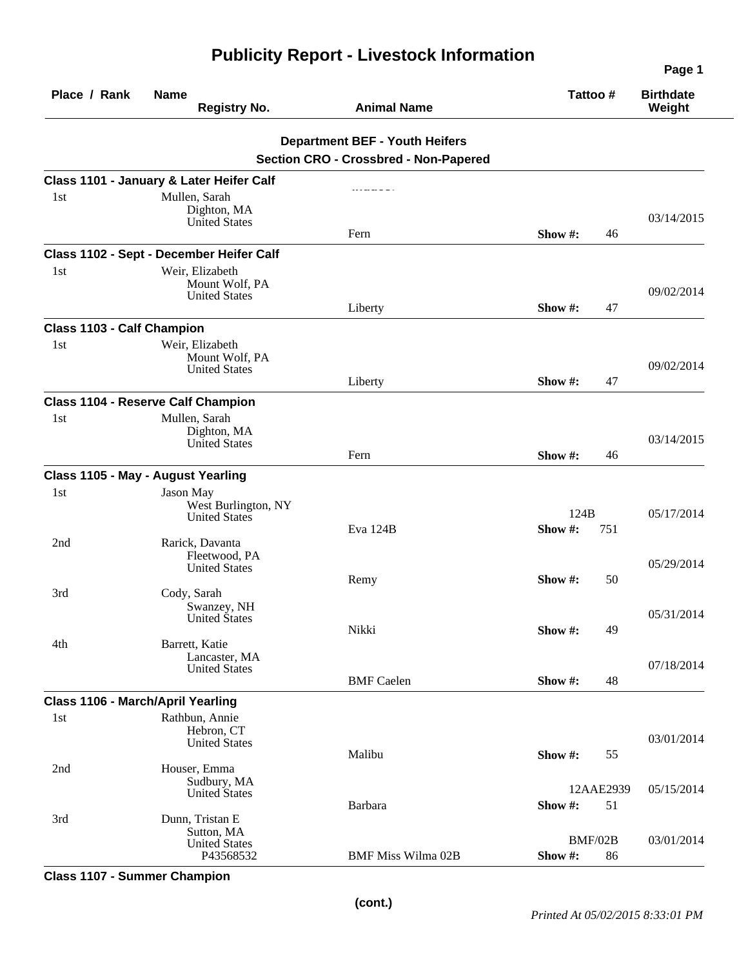|                                   |                                             |                                       | Page 1        |                            |
|-----------------------------------|---------------------------------------------|---------------------------------------|---------------|----------------------------|
| Place / Rank                      | <b>Name</b><br><b>Registry No.</b>          | <b>Animal Name</b>                    | Tattoo #      | <b>Birthdate</b><br>Weight |
|                                   |                                             | <b>Department BEF - Youth Heifers</b> |               |                            |
|                                   |                                             | Section CRO - Crossbred - Non-Papered |               |                            |
|                                   | Class 1101 - January & Later Heifer Calf    |                                       |               |                            |
| 1st                               | Mullen, Sarah                               |                                       |               |                            |
|                                   | Dighton, MA                                 |                                       |               | 03/14/2015                 |
|                                   | <b>United States</b>                        | Fern                                  | Show #:<br>46 |                            |
|                                   | Class 1102 - Sept - December Heifer Calf    |                                       |               |                            |
| 1st                               | Weir, Elizabeth                             |                                       |               |                            |
|                                   | Mount Wolf, PA                              |                                       |               |                            |
|                                   | <b>United States</b>                        | Liberty                               | Show #:<br>47 | 09/02/2014                 |
|                                   |                                             |                                       |               |                            |
| Class 1103 - Calf Champion<br>1st | Weir, Elizabeth                             |                                       |               |                            |
|                                   | Mount Wolf, PA                              |                                       |               |                            |
|                                   | <b>United States</b>                        |                                       |               | 09/02/2014                 |
|                                   |                                             | Liberty                               | Show #:<br>47 |                            |
|                                   | <b>Class 1104 - Reserve Calf Champion</b>   |                                       |               |                            |
| 1 <sub>st</sub>                   | Mullen, Sarah<br>Dighton, MA                |                                       |               |                            |
|                                   | <b>United States</b>                        |                                       |               | 03/14/2015                 |
|                                   |                                             | Fern                                  | Show #:<br>46 |                            |
|                                   | Class 1105 - May - August Yearling          |                                       |               |                            |
| 1st                               | Jason May                                   |                                       |               |                            |
|                                   | West Burlington, NY<br><b>United States</b> |                                       | 124B          | 05/17/2014                 |
|                                   |                                             | Eva 124B                              | Show#:<br>751 |                            |
| 2nd                               | Rarick, Davanta                             |                                       |               |                            |
|                                   | Fleetwood, PA<br><b>United States</b>       |                                       |               | 05/29/2014                 |
|                                   |                                             | Remy                                  | Show #:<br>50 |                            |
| 3rd                               | Cody, Sarah                                 |                                       |               |                            |
|                                   | Swanzey, NH<br>United States                |                                       |               | 05/31/2014                 |
|                                   |                                             | Nikki                                 | Show #:<br>49 |                            |
| 4th                               | Barrett, Katie<br>Lancaster, MA             |                                       |               |                            |
|                                   | <b>United States</b>                        |                                       |               | 07/18/2014                 |
|                                   |                                             | <b>BMF</b> Caelen                     | 48<br>Show #: |                            |
|                                   | Class 1106 - March/April Yearling           |                                       |               |                            |
| 1st                               | Rathbun, Annie                              |                                       |               |                            |
|                                   | Hebron, CT<br><b>United States</b>          |                                       |               | 03/01/2014                 |
|                                   |                                             | Malibu                                | Show #:<br>55 |                            |
| 2nd                               | Houser, Emma<br>Sudbury, MA                 |                                       |               |                            |
|                                   | <b>United States</b>                        |                                       | 12AAE2939     | 05/15/2014                 |
|                                   |                                             | Barbara                               | Show #:<br>51 |                            |
| 3rd                               | Dunn, Tristan E<br>Sutton, MA               |                                       |               |                            |
|                                   | <b>United States</b>                        |                                       | BMF/02B       | 03/01/2014                 |
|                                   | P43568532                                   | <b>BMF Miss Wilma 02B</b>             | Show#:<br>86  |                            |

**Class 1107 - Summer Champion**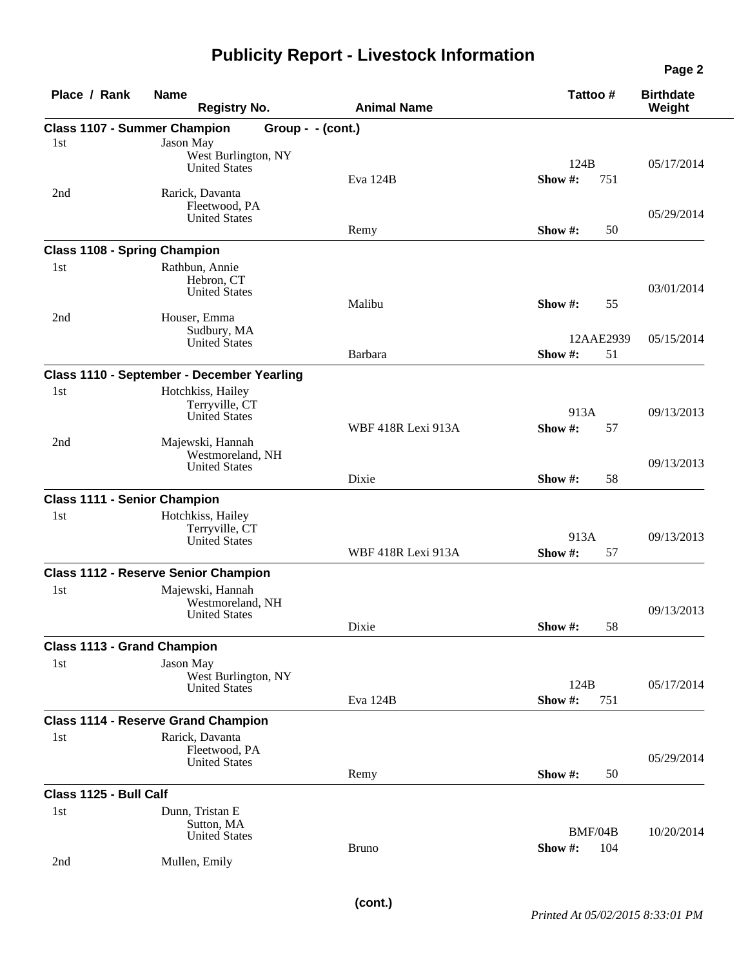## **Publicity Report - Livestock Information**

| Place / Rank           | <b>Name</b><br><b>Registry No.</b>          | <b>Animal Name</b> | Tattoo#         | <b>Birthdate</b><br>Weight |
|------------------------|---------------------------------------------|--------------------|-----------------|----------------------------|
|                        | <b>Class 1107 - Summer Champion</b>         | Group - - (cont.)  |                 |                            |
| 1st                    | Jason May                                   |                    |                 |                            |
|                        | West Burlington, NY                         |                    |                 |                            |
|                        | <b>United States</b>                        | Eva 124B           | 124B<br>Show #: | 05/17/2014                 |
| 2nd                    | Rarick, Davanta                             |                    | 751             |                            |
|                        | Fleetwood, PA                               |                    |                 |                            |
|                        | <b>United States</b>                        |                    |                 | 05/29/2014                 |
|                        |                                             | Remy               | Show #:<br>50   |                            |
|                        | <b>Class 1108 - Spring Champion</b>         |                    |                 |                            |
| 1st                    | Rathbun, Annie                              |                    |                 |                            |
|                        | Hebron, CT                                  |                    |                 | 03/01/2014                 |
|                        | <b>United States</b>                        | Malibu             | Show #:<br>55   |                            |
| 2nd                    | Houser, Emma                                |                    |                 |                            |
|                        | Sudbury, MA                                 |                    |                 |                            |
|                        | <b>United States</b>                        |                    | 12AAE2939       | 05/15/2014                 |
|                        |                                             | Barbara            | 51<br>Show#:    |                            |
|                        | Class 1110 - September - December Yearling  |                    |                 |                            |
| 1st                    | Hotchkiss, Hailey                           |                    |                 |                            |
|                        | Terryville, CT<br><b>United States</b>      |                    | 913A            | 09/13/2013                 |
|                        |                                             | WBF 418R Lexi 913A | Show#:<br>57    |                            |
| 2nd                    | Majewski, Hannah                            |                    |                 |                            |
|                        | Westmoreland, NH                            |                    |                 | 09/13/2013                 |
|                        | <b>United States</b>                        | Dixie              | Show #:         |                            |
|                        |                                             |                    | 58              |                            |
|                        | <b>Class 1111 - Senior Champion</b>         |                    |                 |                            |
| 1st                    | Hotchkiss, Hailey                           |                    |                 |                            |
|                        | Terryville, CT<br><b>United States</b>      |                    | 913A            | 09/13/2013                 |
|                        |                                             | WBF 418R Lexi 913A | Show #:<br>57   |                            |
|                        | <b>Class 1112 - Reserve Senior Champion</b> |                    |                 |                            |
| 1st                    | Majewski, Hannah                            |                    |                 |                            |
|                        | Westmoreland, NH                            |                    |                 |                            |
|                        | <b>United States</b>                        |                    |                 | 09/13/2013                 |
|                        |                                             | Dixie              | Show #:<br>58   |                            |
|                        | <b>Class 1113 - Grand Champion</b>          |                    |                 |                            |
| 1st                    | Jason May                                   |                    |                 |                            |
|                        | West Burlington, NY                         |                    | 124B            | 05/17/2014                 |
|                        | United States                               | Eva 124B           | Show #:<br>751  |                            |
|                        | <b>Class 1114 - Reserve Grand Champion</b>  |                    |                 |                            |
|                        |                                             |                    |                 |                            |
| 1st                    | Rarick, Davanta<br>Fleetwood, PA            |                    |                 |                            |
|                        | <b>United States</b>                        |                    |                 | 05/29/2014                 |
|                        |                                             | Remy               | Show #:<br>50   |                            |
| Class 1125 - Bull Calf |                                             |                    |                 |                            |
| 1st                    | Dunn, Tristan E                             |                    |                 |                            |
|                        | Sutton, MA                                  |                    |                 |                            |
|                        | <b>United States</b>                        |                    | BMF/04B         | 10/20/2014                 |
|                        |                                             | <b>Bruno</b>       | Show #:<br>104  |                            |
| 2nd                    | Mullen, Emily                               |                    |                 |                            |

**Page 2**